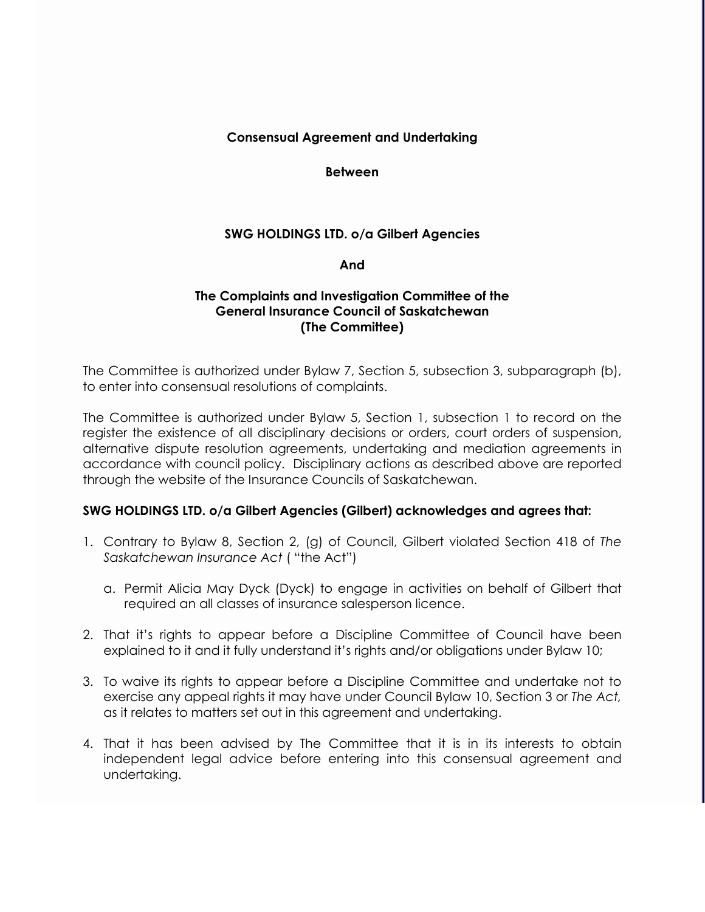## **Consensual Agreement and Undertaking**

**Between**

# **SWG HOLDINGS LTD. o/a Gilbert Agencies**

## **And**

## **The Complaints and Investigation Committee of the General Insurance Council of Saskatchewan (The Committee)**

The Committee is authorized under Bylaw 7, Section 5, subsection 3, subparagraph (b), to enter into consensual resolutions of complaints.

The Committee is authorized under Bylaw 5, Section 1, subsection 1 to record on the register the existence of all disciplinary decisions or orders, court orders of suspension, alternative dispute resolution agreements, undertaking and mediation agreements in accordance with council policy. Disciplinary actions as described above are reported through the website of the Insurance Councils of Saskatchewan.

## **SWG HOLDINGS LTD. o/a Gilbert Agencies (Gilbert) acknowledges and agrees that:**

- 1. Contrary to Bylaw 8, Section 2, (g) of Council, Gilbert violated Section 418 of *The Saskatchewan Insurance Act* ( "the Act")
	- a. Permit Alicia May Dyck (Dyck) to engage in activities on behalf of Gilbert that required an all classes of insurance salesperson licence.
- 2. That it's rights to appear before a Discipline Committee of Council have been explained to it and it fully understand it's rights and/or obligations under Bylaw 10;
- 3. To waive its rights to appear before a Discipline Committee and undertake not to exercise any appeal rights it may have under Council Bylaw 10, Section 3 or *The Act,*  as it relates to matters set out in this agreement and undertaking.
- 4. That it has been advised by The Committee that it is in its interests to obtain independent legal advice before entering into this consensual agreement and undertaking.